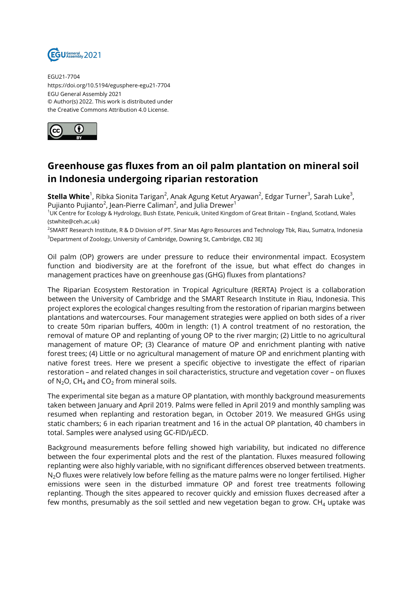

EGU21-7704 https://doi.org/10.5194/egusphere-egu21-7704 EGU General Assembly 2021 © Author(s) 2022. This work is distributed under the Creative Commons Attribution 4.0 License.



## **Greenhouse gas fluxes from an oil palm plantation on mineral soil in Indonesia undergoing riparian restoration**

**Stella White<sup>1</sup>,** Ribka Sionita Tarigan<sup>2</sup>, Anak Agung Ketut Aryawan<sup>2</sup>, Edgar Turner<sup>3</sup>, Sarah Luke<sup>3</sup>, Pujianto Pujianto $^2$ , Jean-Pierre Caliman $^2$ , and Julia Drewer $^1$ 

<sup>1</sup>UK Centre for Ecology & Hydrology, Bush Estate, Penicuik, United Kingdom of Great Britain – England, Scotland, Wales (stwhite@ceh.ac.uk)

<sup>2</sup>SMART Research Institute, R & D Division of PT. Sinar Mas Agro Resources and Technology Tbk, Riau, Sumatra, Indonesia <sup>3</sup>Department of Zoology, University of Cambridge, Downing St, Cambridge, CB2 3EJ

Oil palm (OP) growers are under pressure to reduce their environmental impact. Ecosystem function and biodiversity are at the forefront of the issue, but what effect do changes in management practices have on greenhouse gas (GHG) fluxes from plantations?

The Riparian Ecosystem Restoration in Tropical Agriculture (RERTA) Project is a collaboration between the University of Cambridge and the SMART Research Institute in Riau, Indonesia. This project explores the ecological changes resulting from the restoration of riparian margins between plantations and watercourses. Four management strategies were applied on both sides of a river to create 50m riparian buffers, 400m in length: (1) A control treatment of no restoration, the removal of mature OP and replanting of young OP to the river margin; (2) Little to no agricultural management of mature OP; (3) Clearance of mature OP and enrichment planting with native forest trees; (4) Little or no agricultural management of mature OP and enrichment planting with native forest trees. Here we present a specific objective to investigate the effect of riparian restoration – and related changes in soil characteristics, structure and vegetation cover – on fluxes of N<sub>2</sub>O, CH<sub>4</sub> and CO<sub>2</sub> from mineral soils.

The experimental site began as a mature OP plantation, with monthly background measurements taken between January and April 2019. Palms were felled in April 2019 and monthly sampling was resumed when replanting and restoration began, in October 2019. We measured GHGs using static chambers; 6 in each riparian treatment and 16 in the actual OP plantation, 40 chambers in total. Samples were analysed using GC-FID/µECD.

Background measurements before felling showed high variability, but indicated no difference between the four experimental plots and the rest of the plantation. Fluxes measured following replanting were also highly variable, with no significant differences observed between treatments. N<sub>2</sub>O fluxes were relatively low before felling as the mature palms were no longer fertilised. Higher emissions were seen in the disturbed immature OP and forest tree treatments following replanting. Though the sites appeared to recover quickly and emission fluxes decreased after a few months, presumably as the soil settled and new vegetation began to grow.  $CH<sub>4</sub>$  uptake was